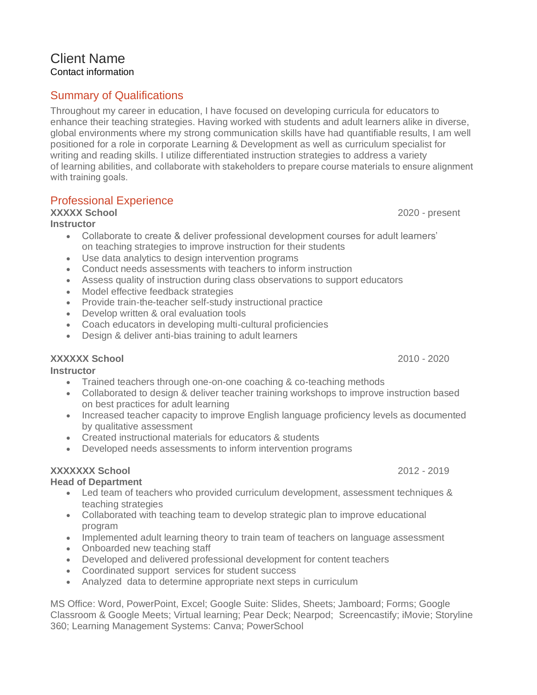#### Client Name Contact information

# Summary of Qualifications

Throughout my career in education, I have focused on developing curricula for educators to enhance their teaching strategies. Having worked with students and adult learners alike in diverse, global environments where my strong communication skills have had quantifiable results, I am well positioned for a role in corporate Learning & Development as well as curriculum specialist for writing and reading skills. I utilize differentiated instruction strategies to address a variety of learning abilities, and collaborate with stakeholders to prepare course materials to ensure alignment with training goals.

# Professional Experience

### **XXXXX School** 2020 - present

#### **Instructor**

- Collaborate to create & deliver professional development courses for adult learners' on teaching strategies to improve instruction for their students
- Use data analytics to design intervention programs
- Conduct needs assessments with teachers to inform instruction
- Assess quality of instruction during class observations to support educators
- Model effective feedback strategies
- Provide train-the-teacher self-study instructional practice
- Develop written & oral evaluation tools
- Coach educators in developing multi-cultural proficiencies
- Design & deliver anti-bias training to adult learners

### **XXXXXX School** 2010 - 2020

**Instructor**

- Trained teachers through one-on-one coaching & co-teaching methods
- Collaborated to design & deliver teacher training workshops to improve instruction based on best practices for adult learning
- Increased teacher capacity to improve English language proficiency levels as documented by qualitative assessment
- Created instructional materials for educators & students
- Developed needs assessments to inform intervention programs

# **XXXXXXX School** 2012 - 2019

### **Head of Department**

- Led team of teachers who provided curriculum development, assessment techniques & teaching strategies
- Collaborated with teaching team to develop strategic plan to improve educational program
- Implemented adult learning theory to train team of teachers on language assessment
- Onboarded new teaching staff
- Developed and delivered professional development for content teachers
- Coordinated support services for student success
- Analyzed data to determine appropriate next steps in curriculum

MS Office: Word, PowerPoint, Excel; Google Suite: Slides, Sheets; Jamboard; Forms; Google Classroom & Google Meets; Virtual learning; Pear Deck; Nearpod; Screencastify; iMovie; Storyline 360; Learning Management Systems: Canva; PowerSchool